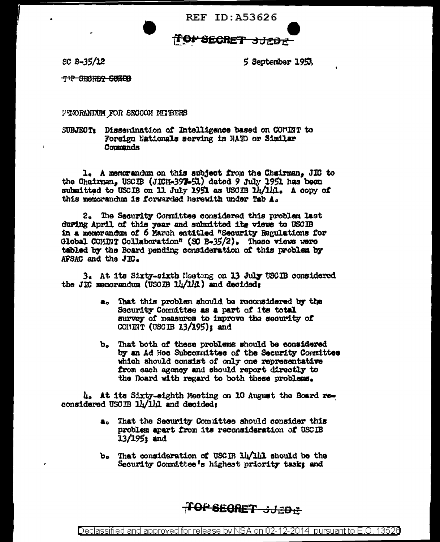**REF ID: A53626** 

## ffor Secret 3JEDE

 $SC B - 35/12$ 

5 September 1953

T'P SECRET SUBDB

VENORANDUM FOR SECCOM MITEERS

SUBJECT: Dissemination of Intelligence based on COMINT to Foreign Nationals serving in NATO or Similar Commands

1. A memorandum on this subject from the Chairman. JIC to the Chairman, USCIB (JICH-397-51) dated 9 July 1951 has been submitted to USCIB on 11 July 1951 as USCIB 14/141. A copy of this memorandum is forwarded herewith under Tab A.

2. The Security Committee considered this problem last during April of this year and submitted its views to USCIB in a memorandum of 6 March entitled "Security Regulations for Global COMINT Collaboration" (SC B-35/2). These views were tabled by the Board pending consideration of this problem by AFSAC and the JIC.

3. At its Sixty-sixth Meeting on 13 July USCIB considered the JIC memorandum (USCIB 14/141) and decided:

- a. That this problem should be reconsidered by the Security Committee as a part of its total survey of measures to improve the security of COMINT (USCIB  $13/195$ ): and
- b. That both of these problems should be considered by an Ad Hoc Subcommittee of the Security Committee which should consist of only one representative from each agency and should report directly to the Roard with regard to both these problems.

4. At its Sixty-sighth Meeting on 10 August the Board reconsidered USCIB 14/141 and decided:

- a. That the Security Committee should consider this problem apart from its reconsideration of USCIB  $13/195$ **:** and
- b. That consideration of USCIB lightly should be the Security Committee's highest priority task: and

**TOP SECRET 3JEDE**